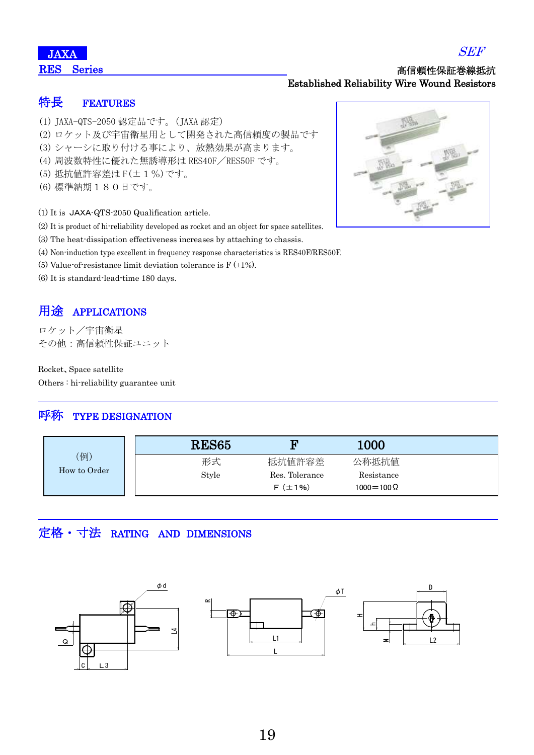#### 高信頼性保証巻線抵抗 Established Reliability Wire Wound Resistors

#### 特長 FEATURES

- (1) JAXA-QTS-2050 認定品です。(JAXA 認定)
- (2) ロケット及び宇宙衛星用として開発された高信頼度の製品です
- (3) シャーシに取り付ける事により、放熱効果が高まります。
- (4) 周波数特性に優れた無誘導形は RES40F/RES50F です。
- (5) 抵抗値許容差は F(±1%)です。
- (6) 標準納期180日です。

(1) It is JAXA-QTS-2050 Qualification article.

- (2) It is product of hi-reliability developed as rocket and an object for space satellites.
- (3) The heat-dissipation effectiveness increases by attaching to chassis.
- (4) Non-induction type excellent in frequency response characteristics is RES40F/RES50F.
- (5) Value-of-resistance limit deviation tolerance is  $F(\pm 1\%)$ .
- (6) It is standard-lead-time 180 days.

### 用途 APPLICATIONS

ロケット/宇宙衛星 その他:高信頼性保証ユニット

Rocket、Space satellite Others : hi-reliability guarantee unit

#### 呼称 TYPE DESIGNATION

|              | <b>RES65</b> | m              | 1000                |  |
|--------------|--------------|----------------|---------------------|--|
| (例)          | 形式           | 抵抗値許容差         | 公称抵抗值               |  |
| How to Order | Style        | Res. Tolerance | Resistance          |  |
|              |              | $F(\pm 1\%)$   | $1000 = 100 \Omega$ |  |

## 定格・寸法 RATING AND DIMENSIONS





SEF